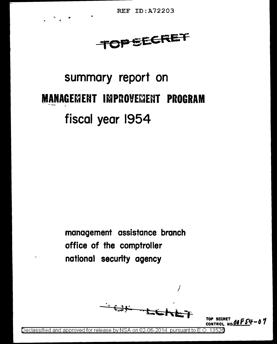**REF ID: A72203** 

**TOPEECRET** 

# summary report on **MANAGEMENT IMPROVEMENT PROGRAM** fiscal year 1954

management assistance branch office of the comptroller national security agency

<del>ËJN</del>

TOP SECRET CONTROL NO.05 FS4 - 0 7

Declassified and approved for release by NSA on 02-06-2014 pursuant to E.O 13526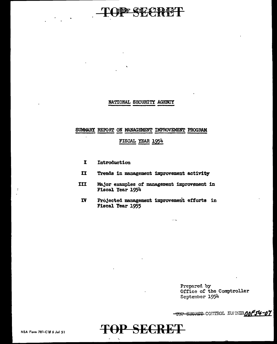# **BE CITY 222 13-**

#### NATIONAL SECURITY AGENCY

#### SUMMARY REPORT ON MANAGEMENT IMPROVEMENT PROGRAM

#### FISCAL YEAR 1954

- I Introduction
- II Trends in management improvement activity
- III Major examples of' management improvement in Fiscal Year 1954
- IV Projected management improvement ettorte in Fiscal Year 1955

 $\sim$   $-$ 

Prepared by Office of the Comptroller September 1954

TOP SEGRET CONTROL NUMBER 00 54-07

**TOP SECRET**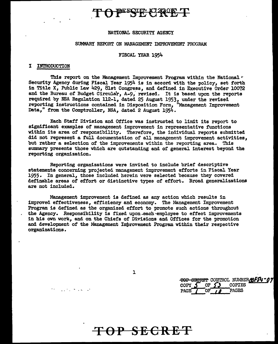### **BEECIP: X7220FCT**

#### NATIONAL SECURITY AGENCY

#### SUMMARY REPORT ON MANAGEMENT IMPROVEMENT PROGRAM

#### FISCAL YEAR 1954

#### I INTRODUCTION

the company of the same of

This report on the Management Improvement Program within the National  $\epsilon$ Security Agency during Fiscal Year 1954 is in accord with the policy, set forth in Title X, Public Law 429, 8lst Congress, and defined in Executive Order 10072 and the Bureau of Budget Circular, A-9, revised. It is based upon the reports required by NSA Regulation 112-1, dated 25 August 1953, under the revised reporting instructions contained in Disposition Form. "Management Improvement reporting instructions contained in Disposition Form, Data," from the Comptroller, NSA, dated 2 August 1954.

Each Staff Division and Office was instructed to limit its report to significant examples of management improvement in representative functions within its area of responsibility. Therefore, the individual reports submitted did not represent a fUll documentation of all management improvement activities, but rather a selection of the improvements within the reporting area. This summary presents those which are autstanding and of general interest beyond the reporting organization.

Reporting organizations were invited to include brief descriptive statements concerning projected management improvement efforts in Fiscal Year 1955· In general, those included herein were selected because they covered definable areas of effort or distinctive types of effort. Broad generalizations are not included.

Management improvement is defined as any action which results in improved effectiveness, efficiency and economy. The Management Improvement Program is defined as the organized effort to promote such actions throughout the Agency. Responsibility is fixed upon~each·employee to effect improvements in his own work, and on the Chiefs of Divisions and Offices for the promotion and development of the Management Improvement Program within their respective organizations.

1

TOP SBERBT CONTROL NUMBER**MF54 ° 07** COPY J OF (J COPIES PAGE / OF *i a* PAGES

# **TOP SECRET**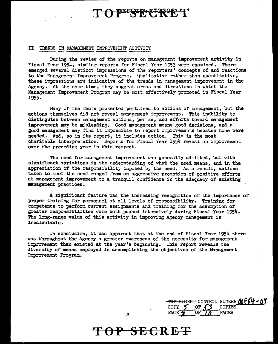# TO BEFSER FAROR T

#### II TRENDS IN MANAGEMENT IMPROVEMENT ACTIVITY

During the review of the reports on management improvement activity in Fiscal Year 1954, similar reports for Fiscal Year 1953 were examined. There emerged several distinct impressions of the reporters' concepts of and reactions to the Management Improvement Program. Qualitative rather than quantitative, these impressions are indicative of the trends in management improvement in the Agency. At the same time, they suggest areas and directions in which the Management Improvement Program may be most effectively promoted in Fiscal Year 1955.

Many of the facts presented pertained to actions of management, but the actions themselves did not reveal management improvement. This inability to distinguish between management actions, per se, and efforts toward management improvement may be misleading. Good management means good decisions, and a good management may find it impossible to report improvements because none were needed. And, so in its report, it includes action. This is the most charitable interpretation. Reports for Fiscal Year 1954 reveal an improvement over the preceding year in this respect.

The need for management improvement was generally admitted, but with significant variations in the understanding of what the need means, and in the appreciation of the responsibility imposed by the need. As a result, actions taken to meet the need ranged from an aggressive promotion of positive efforts at management improvement to a tranquil confidence in the adequacy of existing management practices.

A significant feature was the increasing recognition of the importance of proper training for personnel at all levels of responsibility. Training for competence to perform current assignments and training for the assumption of greater responsibilities were both pushed intensively during Fiscal Year 1954. The long-range value of this activity in improving Agency management is incalculable.

In conclusion, it was apparent that at the end of Fiscal Year 1954 there was throughout the Agency a greater awareness of the necessity for management improvement than existed at the year's beginning. This report reveals the diversity of means employed in accomplishing the objectives of the Management Improvement Program.

|        |     |        | TOP SECRET CONTROL NUMBER ON F64 - 07 |
|--------|-----|--------|---------------------------------------|
| COPY   | ΩT. | COPIES |                                       |
| PAGE V |     | PAGES  |                                       |

**TOP SECRET** 

2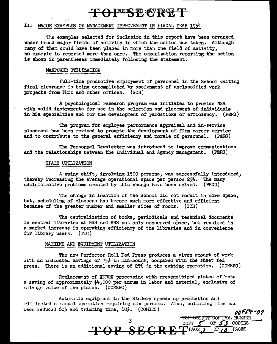## **FERET PERT**

#### III MAJOR EXAMPLES OF MANAGEMENT IMPROVEMENT IN FISCAL YEAR 1954

The examples selected for inclusion in this report have been arranged under broad major fields of activity in which the action was taken. Although many of them could have been placed in more than one field of activity, no example is reported more than once. The organization reporting the action is shown in parentheses immediately following the statement.

#### MANPOWER UTILIZATION

Full-time productive employment of personnel in the School waiting final clearance is being accomplished by assignment of unclassified work projects from PROD and other offices. (SCH)

A psychological research program was initiated to provide NSA with valid instruments for use in the selection and placement of individuals in NBA specialties and for the development of yardsticks of efficiency. (PERS)

The program for employee performance appraisal and in-service placement has been revised to promote the development of firm career service and to contribute to the general efficiency and morale of personnel. (PERS)

The Personnel Newsletter was introduced to improve communications and the relationships between the individual and Agency management. (PERS)

#### SPACE UTILIZATION

A swing shift, involving 1500 persons, was successfully introduced, thereby increasing the average operational space per person  $25%$ . The many administrative problems created by this change have been solved. (PROD)

The change in location of the School did not result in more space, but, scheduling of classess has become much more effective and efficient because of the greater number and smaller sizes of rooms. (SCH)

The centralization of books, periodicals and technical documents in central libraries at NSS and AHS not only conserved space, but resulted in a marked increase in operating efficiency of the libraries and in convenience for library users. (TEC)

#### MACHINE AND EQUIPMENT UTILIZATION

The new Perfector'Roll Fed Press produces a given amount of work with an indicated savings of 75% in man-hours, compared with the sheet fed press. There is an additional saving of  $25%$  in the cutting operation. (COMSEC)

Replacement of XEROX processing with presensitized plates effects a saving of approximately \$4,ooo per annum in labor and material, exclusive of salvage value of the plates. (COMSEC)

Automatic equipment in the Bindery speeds up production and eliminated a manual operation requiring six persons. Also, collating time has been reduced 60% and trimming time, 60%. (COMSEC) is a contract to be a set of *bbF54-07* 

TOP SECRET CONVERSE NOWBER **TOP SECRET CONVERSE AND RE** 

3 TOP SECRET CONTROL NUMBER<br>COPY 5 OF 53 COPIES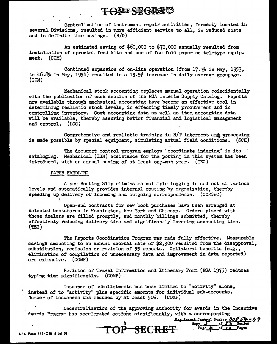### **TONE SEGRET**

Centralization of instrument repair activities, formerly located in several Divisions, resulted in more efficient service to all, in reduced costs and in definite time savings.  $(R/D)$ 

An estimated saving of \$60,000 to \$70,000 annually resulted from installation of sprocket feed kits and use of fan fold paper on teletype equipment. (COM)

Continued expansion of on-line operation (from  $17.7\%$  in May, 1953, to  $46.8\%$  in May, 1954) resulted in a 13.5% increase in daily average groupage. (COM)

Mechanical stock accounting replaces manual operation coincidentally . with the publication of each section of the NSA Interim Supply Catalog. Reports now available through mechanical accounting have become an effective tool in determining realistic stock levels, in effecting timely procurement and in controlling inventory. Cost accounting data as well as item accounting data will be available, thereby assuring better financial and logistical management and control. (LOG)

Comprehensive and realistic training in  $R/T$  intercept and processing is made possible by special equipment, simulating actual field conditions.  $(SCH)$ 

The document control program employs "coordinate indexing" in its cataloging. Mechanical (IBM) assistance for the posting in this system has been introduced, with an annual saving of at least one-man year.  $(TEC)$ 

#### PAPER HANDLING

\

A new Routing Slip eliminates multiple logging in and out at various levels and automatically provides internal routing by organization, thereby speeding up delivery of incoming and outgoing correspondence.  $(CO \cup SEC)$ 

Open-end contracts for new book purchases have been arranged at selected bookstores in Washington. New York and Chicago. Orders placed with these dealers are filled promptly, and monthly billings submitted, thereby effectively reducing delivery time and significantly'1owering accounting time.  $(TEC)$ 

The Reports Coordination Program was made fully effective. Measurable savings amounting to an annual accrual rate of \$2,300 resulted from the disapproval, substitution, recission or revision of 55 reports. Collateral benefits (e.g., elimination of compilation of unnecessary data and improvement in data reported) are extensive. (COMP)

Revision of Travel Information and Itinerary Form (NSA 1975) reduces typing time significantly. (COMP)

Issuance of suballotments has been limited to "activity" alone, • instead of to "activity" plus specific amounts for individual sub-accounts. Number of issuances was reduced by at least  $50\%$ . (COMP)

Awards Program has accelerated actions significantly, with a corresponding Decentralization of the approving authority for awards in the Incentive

the Secret Control Number 00<del>(54</del> - 0?<br>Copy 5 of 53 Copies<br>- Fage 4 of *14* Pages  $-$ **SECRET** 

NSA Form 781·C10 6 Jul 51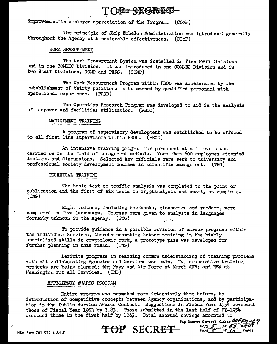### **TORE SEGREE**

improvement in employee appreciation of the Program. (COMP)

The principle of Skip Echelon Administration was introduced generally throughout the Agency with noticeable effectiveness. (COMP)

#### \_\_\_\_\_ WORK MEASUREMENT .;.....,;.

The Work Measurement System was installed in five PROD Divisions and in one COMSEC Division. It was introduced in one COMSEC Division and in two Staff Divisions, COMP and PERS. (COMP)

The Work Measurement Program within PROD was accelerated by the establishment of thirty positions to be manned by qualified personnel with operational experience. (PROD)

The Operation Research Program was developed to aid in the analysis of manpower and facilities utilization. (PROD)

#### MANAGEMENT TRAINING

A program of supervisory development was established to be offered to all first line supervisors within PROD.· (PROD)

An intensive training program for personnel at all levels was carried on in the field *of* management methods. More than 600 employees attended lectures and discussions. Selected key officials were sent to university and professional society development courses in scientific management. (TNG)

#### TECHNICAL TRAINING

The basic text on traffic analysis was completed to the point of publication and the first of six texts on cryptanalysis was nearly as complete. {TNG)

Eight volumes, including textbooks, glossaries and readers, were completed in five languages. Courses uere given to analysts in languages formerly unknown in the Agency.  $(TNG)$ 

To provide guidance in a possible revision of career programs within the individual Services, thereby promoting better training in the highly specialized skills in cryptologic work, a prototype plan was developed for further planning in this field.  $(TNG)$ 

Definite progress in reaching common understanding of training problems with all collaborating Agencies and Services was made. Two cooperative training projects are being planned; the Navy and Air Force at March AFB; and NSA at Washington for all Services. (TNG)

#### EFFICIENCY AWARDS PROGRAM

Entire program was promoted more intensively than before, by · introduction of competitive concepts between Agency organizations, and by participation in the Public Service Awards Contest. Suggestions in Fiscal Year 1954 exceeded those of Fiscal Year 1953 by  $3.8\%$ . Those submitted in the last half of FY-1954 exceeded those in the first half by  $106\%$ . Total accrued savings amounted to<br><del>Top Socret</del> Control Number 00F54-07

NSA Form 781-C10 6 Jul 51 **TOP SECRET** Copy of the Pages of *LA* Pages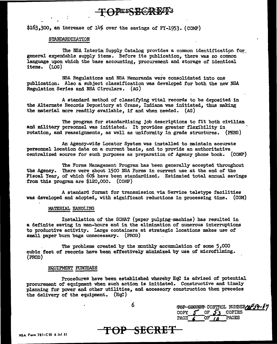### **TOPESBERET**

 $$163,300$ , an increase of  $14%$  over the savings of FY-1953. (COMP)

#### STANDARDIZATION

The NSA Interim Supply Catalog provides a common identification for general expendable supply items. Before its publication, there was no common language upon which the base accounting, procurement and storage of identical items. (LOG)

NSA Regulations and NSA Memoranda were consolidated into one publication. Also a subject classification was developed for both the new NSA Regulation Series and NSA Circulars. (AG)

A standard method of classifying vital records to be deposited in the Alternate Records Depository at Crane, Indiana was initiated, thus making the material more readily available, if and when needed. (AG)

The program for standardizing job descriptions to fit both civilian and military personnel was initiated. It provides greater flexibility in rotation, and reassignments, as well as uniformity in grade structures. {PERS)

An Agency-wide Locator System was installed to maintain accurate personnel location data on a current basis, and to provide an authoritative centralized source for such purposes as preparation of Agency phone book. (COMP)

The Forms Management Program has been generally accepted throughout the Agency. There were about 1500 NSA Forms in current use at the end of' the Fiscal Year, of which  $60\%$  have been standardized. Estimated total annual savings from this program are \$120,000. (COMP)

A standard format for transmission via Service teletype facilities was developed and adopted, with significant reductions in processing time. (COM)

#### MATERIAL HANDLING

Installation of the SOMAT (paper pulping~machine) has resulted in a definite saving in man-hours and in the elimination of numerous interruptions to productive activity. Large containers at strategic locations makes use of small paper burn bags unnecessary. (PROD)

. The problems created by the monthly accumulation of some 5 ,000 cubic feet of records have been effectively minimized by use of microfilming. (PROD)

#### EQUIPMENT PURCHASE

Procedures have been established whereby HqC is advised of potential procurement of equipment when such action is initiated. Constructive and timely planning for power and other utilities, and accessory construction then precedes the delivery of the equipment. (HqC)

6

TOP SECRET CONTROL NUMBERANEST-1 OF 53 COPIES<br>OF 10 PAGES PAGE  $60F/7$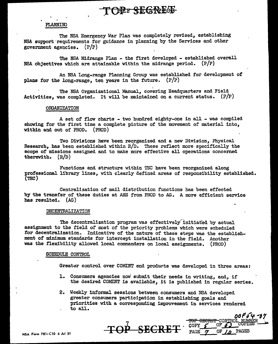### TOPE SEGREG

#### PLANNING

The NSA Emergency War Plan was completely revised, establishing NSA support requirements for guidance in planning by the Services and other government agencies.  $(P/P)$ 

The NSA Midrange Plan - the first developed - established overall NSA objectives which are attainable within the midrange period. (P/P)

An NSA Long-range Planning Group was established for development of plans for the long-range, ten years in the future. (P/P)

The NSA Organizational Manual, covering Headquarters and Field Activities, was completed. It will be maintained on a current status.  $(P/P)$ 

#### OFGANIZATION

A set of flow charts - two hundred eighty-one in all - was compiled showing for the first time a complete picture of the movement of material into, within and out of PROD. (PROD)

Two Divisions have been reorganized and a new Division, Physical Research, has been established within  $R/D$ . These reflect more specifically the scope of missions assigned and to make more effective all operations concerned therewith. (R/D)

Functions and structure within TEC have been reorganized along professional library lines, with clearly defined areas of responsibility established. (TEC)

Centralization of mail distribution functions has been effected by the transfer of these duties at AHS from PROD to AG. A more efficient service has resulted. (AG)

#### DECENTRALIZATION

The decentralization program was effectively initiated by actual assignment to the field of most of the priority problems which were scheduled for decentralization. Indicative of the nature of these steps was the establishment of minimum standards for intercept installation in the field. Another was the flexibility allowed local commanders on local assignments. (PROD)

#### SCHEDULE CONTROL

Greater control over COMINT end products was developed in three areas:

- 1. Consumers agencies now submit their needs in writing, and, if the desired COMINT is available, it is published in regular series.
- 2. Weekly informal sessions between consumers and NSA developed greater consumers participation in establishing goals and priorities with a corresponding improvement in services rendered to all.

*oo* f ,1-y .,,., 'I

TOP SECRET CONTROL NUMBER<br>COPY  $\int$  OF  $\int$  COPIES ——

COPY 6 OF 63 COPI

7 **TOP SECRET.** 

NSA Form 781·C10 *6* Jul 51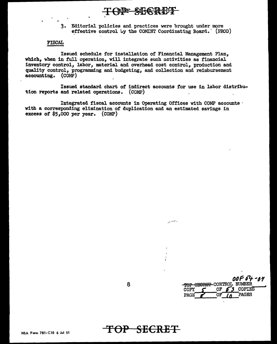TOPE SECREE

3. Editorial policies and practices were brought under more effective control by the COMINT Coordinating Board. (PROD)

#### **FISCAL**

Issued schedule for installation of Financial Management Plan, which, when in full operation, will integrate such activities as financial inventory control, labor, material and overhead cost control, production and quality control, programming and budgeting, and collection and reimbursement accounting. (COMP)

Issued standard chart of indirect accounts for use in labor distribution reports and related operations. (COMP)

Integrated fiscal accounts in Operating Offices with COMP accounts with a corresponding elimination of duplication and an estimated savings in excess of  $$5,000$  per year. (COMP)

8

00F 54 - 14 TOP SECRET CONTROL NUMBER OF **COPIES** COPY 6 S ÖF PAGES PAGE

TOP SECRET

بالمستريد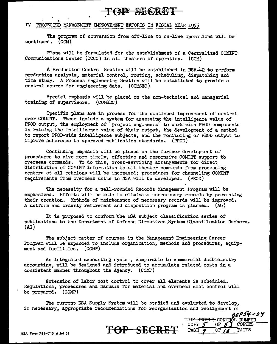

#### IV PROJECTED MANAGEMENT IMPROVEMENT EFFORTS IN FISCAI. YEAR 1955

The program of conversion from off-line to on-line operations will be continued. (COM)

Plans will be formulated for the establishment of a Centralized COMINT Communications Center (CCCC) in all theaters of operation. (COM)

A Production Control Section will be established in NSA-42 to perform production analysis, material control, routing, scheduling, dispatching and time study. A Process Engineering Section will be established to provide a central source for engineering data. (COMSEC)

Special emphasis will be placed on the non-technical and managerial training of supervisors. (COMSEC)

Specific plans are in process for the continued improvement of control over COMINT. These include a system for assessing the intelligence value of PROD output, the employment of "project engineers" to work with PROD components in raising, the intelligence value of their output, the development of a method to report PROD-wide intelligence subjects, and the monitoring of PROD output to improve adherence to approved publication standards. (PROD)

Continuing emphasis will be placed on the further development of procedures to give more timely, effective and responsive COMIUT support t'o overseas commands. To do this, cross-servicing arrangements for direct distribution of COMINT information to all theater commands from processing centers at all echelons will be increased; procedures for channeling COMINT requirements from overseas units to NSA will be developed. (PROD)

The necessity for a well-rounded Records Management Program will be emphasized. Efforts will be made to eliminate unnecessary records by preventing their creation. Methods of maintenance of necessary records will be improved. A uniform and orderly retirement and disposition program is planned. (AG)

It is proposed to conform the NSA subject classification series of publications to the Department of Defense Directives. System Classification Numbers. (AG)

The subject matter of courses in the Management Engineering Career Program will be expanded to include organization, methods and procedures, equipment and facilities. (COMP)

An integrated accounting system, comparable to commercial double-entry accounting, will be designed and introduced to accumulate related costs in a consistent manner throughout the Agency. (COMP)

Extension of labor cost control to cover all elements is scheduled. Regulations, procedures and manuals for material and overhead cost control will be prepared. (COMP)

The current NSA Supply System will be studied and evaluated to develop, if necessary, appropriate recommendations for reorganization and realignment of **()4P.r9** -4~

NSA Form 781·C10 6 Jul 51 **TOP SECRET** 

**TOP SECRET CONTROL NUMBER** COPY  $\overline{\mathcal{J}}$  OF  $\overline{\mathcal{J}}$  COPIES

COPY **f** OF *f* **3** COPIES<br>PAGE *e* OF */A* PAGES